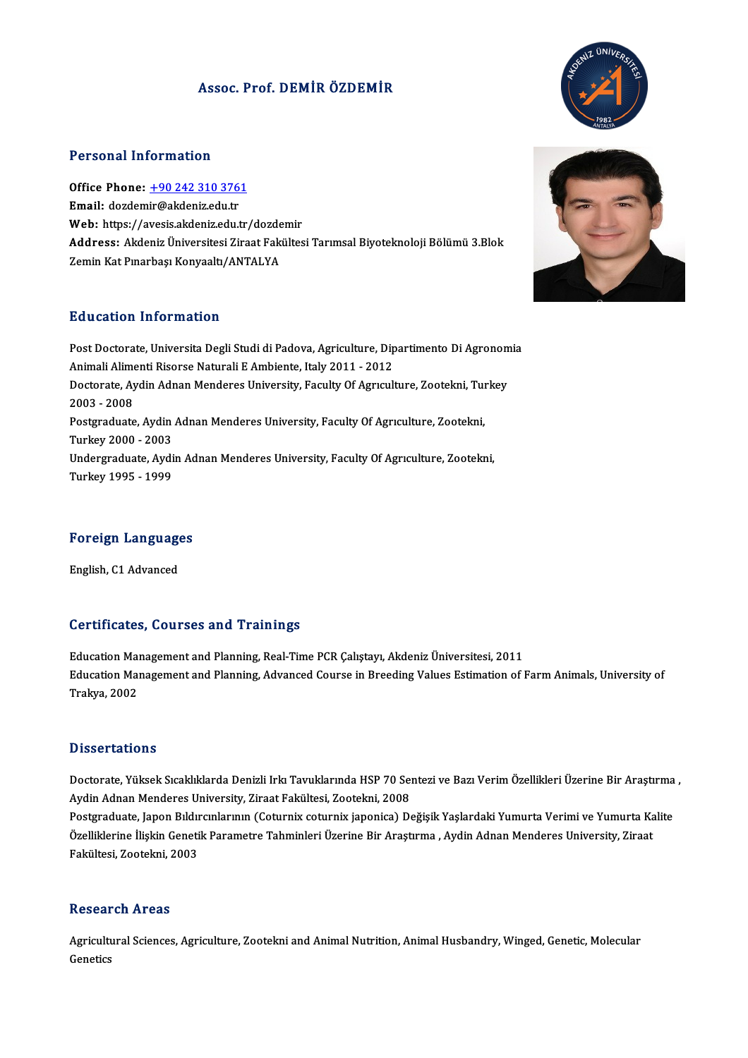### Assoc. Prof. DEMİR ÖZDEMİR



### Personal Information

Personal Information<br>Office Phone: <u>+90 242 310 3761</u><br>Email: derdemir@akdenir.edu.tr 1 croonar micrimation<br>Office Phone: <u>+90 242 310 376</u><br>Email: dozdem[ir@akdeniz.edu.tr](tel:+90 242 310 3761) Email: dozdemir@akdeniz.edu.tr<br>Web: https://avesis.akdeniz.edu.tr/dozdemir Email: dozdemir@akdeniz.edu.tr<br>Web: https://avesis.akdeniz.edu.tr/dozdemir<br>Address: Akdeniz Üniversitesi Ziraat Fakültesi Tarımsal Biyoteknoloji Bölümü 3.Blok<br>Zemin Kat Punarbası Konvaaltı (ANTALYA **Web: https://avesis.akdeniz.edu.tr/dozde<br>Address: Akdeniz Üniversitesi Ziraat Fakı<br>Zemin Kat Pınarbaşı Konyaaltı/ANTALYA** Zemin Kat Pınarbaşı Konyaaltı/ANTALYA<br>Education Information

Education Information<br>Post Doctorate, Universita Degli Studi di Padova, Agriculture, Dipartimento Di Agronomia<br>Animali Alimanti Bisarse Naturali E Ambianta, Italy 2011 - 2012 Au deutren Infermation<br>Post Doctorate, Universita Degli Studi di Padova, Agriculture, Dip<br>Animali Alimenti Risorse Naturali E Ambiente, Italy 2011 - 2012<br>Postorate, Audin Adnan Mandanes University, Fosulty Of Aswayl Post Doctorate, Universita Degli Studi di Padova, Agriculture, Dipartimento Di Agronom<br>Animali Alimenti Risorse Naturali E Ambiente, Italy 2011 - 2012<br>Doctorate, Aydin Adnan Menderes University, Faculty Of Agrıculture, Zoo Animali Alime<br>Doctorate, Ay<br>2003 - 2008<br>Postaneduate Doctorate, Aydin Adnan Menderes University, Faculty Of Agrıculture, Zootekni, Tui<br>2003 - 2008<br>Postgraduate, Aydin Adnan Menderes University, Faculty Of Agrıculture, Zootekni,<br>Turkay 2000 - 2003 2003 - 2008<br>Postgraduate, Aydin Adnan Menderes University, Faculty Of Agrıculture, Zootekni,<br>Turkey 2000 - 2003 Postgraduate, Aydin Adnan Menderes University, Faculty Of Agrıculture, Zootekni,<br>Turkey 2000 - 2003<br>Undergraduate, Aydin Adnan Menderes University, Faculty Of Agrıculture, Zootekni,<br>Turkey 1005 - 1000 Turkey 2000 - 2003<br>Undergraduate, Aydi<br>Turkey 1995 - 1999

# Foreign Languages F<mark>oreign Languag</mark>e<br>English, C1 Advanced

# English, C1 Advanced<br>Certificates, Courses and Trainings

**Certificates, Courses and Trainings<br>Education Management and Planning, Real-Time PCR Çalıştayı, Akdeniz Üniversitesi, 2011<br>Education Management and Planning, Advanced Course in Preeding Values Estimation of l** Education Management and Planning, Advanced Course in Breeding Values Estimation of Farm Animals, University of<br>Trakya, 2002 Education Mai<br>Education Mai<br>Trakya, 2002

### **Dissertations**

Dissertations<br>Doctorate, Yüksek Sıcaklıklarda Denizli Irkı Tavuklarında HSP 70 Sentezi ve Bazı Verim Özellikleri Üzerine Bir Araştırma ,<br>Ardin Adnan Mandares University Zirast Felsültesi Zeetelmi 2008 2 19991 tatrono<br>Doctorate, Yüksek Sıcaklıklarda Denizli Irkı Tavuklarında HSP 70 Seı<br>Aydin Adnan Menderes University, Ziraat Fakültesi, Zootekni, 2008<br>Besteraduata Japan Bıldıraplarının (Coturniy saturniy iaponisa) De

Aydin Adnan Menderes University, Ziraat Fakültesi, Zootekni, 2008<br>Postgraduate, Japon Bıldırcınlarının (Coturnix coturnix japonica) Değişik Yaşlardaki Yumurta Verimi ve Yumurta Kalite Aydin Adnan Menderes University, Ziraat Fakültesi, Zootekni, 2008<br>Postgraduate, Japon Bıldırcınlarının (Coturnix coturnix japonica) Değişik Yaşlardaki Yumurta Verimi ve Yumurta Ka<br>Özelliklerine İlişkin Genetik Parametre Ta Postgraduate, Japon Bıldır<br>Özelliklerine İlişkin Geneti<br>Fakültesi, Zootekni, 2003 Fakültesi, Zootekni, 2003<br>Research Areas

Research Areas<br>Agricultural Sciences, Agriculture, Zootekni and Animal Nutrition, Animal Husbandry, Winged, Genetic, Molecular<br>Cenetiss Agricultu<br>Genetics

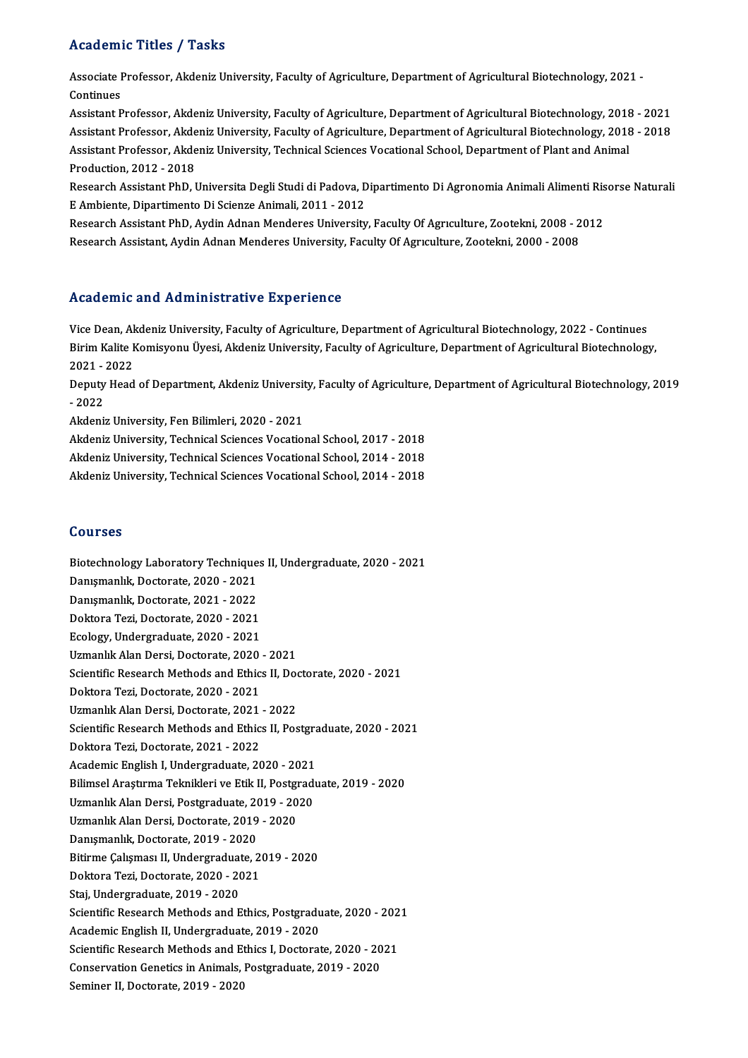### Academic Titles / Tasks

Academic Titles / Tasks<br>Associate Professor, Akdeniz University, Faculty of Agriculture, Department of Agricultural Biotechnology, 2021 -<br>Centinues Associate I<br>Continues<br>Assistant B

Continues<br>Assistant Professor, Akdeniz University, Faculty of Agriculture, Department of Agricultural Biotechnology, 2018 - 2021 Continues<br>Assistant Professor, Akdeniz University, Faculty of Agriculture, Department of Agricultural Biotechnology, 2018 - 2021<br>Assistant Professor, Akdeniz University, Faculty of Agriculture, Department of Agricultural B Assistant Professor, Akdeniz University, Faculty of Agriculture, Department of Agricultural Biotechnology, 2018<br>Assistant Professor, Akdeniz University, Faculty of Agriculture, Department of Agricultural Biotechnology, 201 Assistant Professor, Akde<br>Assistant Professor, Akde<br>Production, 2012 - 2018<br>Besearsh Assistant PhD J Assistant Professor, Akdeniz University, Technical Sciences Vocational School, Department of Plant and Animal<br>Production, 2012 - 2018<br>Research Assistant PhD, Universita Degli Studi di Padova, Dipartimento Di Agronomia Anim

Production, 2012 - 2018<br>Research Assistant PhD, Universita Degli Studi di Padova, D<br>E Ambiente, Dipartimento Di Scienze Animali, 2011 - 2012<br>Besearch Assistant PhD, Audin Adnan Mondones University Research Assistant PhD, Universita Degli Studi di Padova, Dipartimento Di Agronomia Animali Alimenti Ris<br>E Ambiente, Dipartimento Di Scienze Animali, 2011 - 2012<br>Research Assistant PhD, Aydin Adnan Menderes University, Fac

E Ambiente, Dipartimento Di Scienze Animali, 2011 - 2012<br>Research Assistant PhD, Aydin Adnan Menderes University, Faculty Of Agrıculture, Zootekni, 2008 - 2012<br>Research Assistant, Aydin Adnan Menderes University, Faculty O

### Academic and Administrative Experience

Vice Dean, Akdeniz University, Faculty of Agriculture, Department of Agricultural Biotechnology, 2022 - Continues Picautimic and Trammistriatry Birptrichtet<br>Vice Dean, Akdeniz University, Faculty of Agriculture, Department of Agricultural Biotechnology, 2022 - Continues<br>Birim Kalite Komisyonu Üyesi, Akdeniz University, Faculty of Agri Vice Dean, Al<br>Birim Kalite I<br>2021 - 2022<br>Deputy Head Birim Kalite Komisyonu Üyesi, Akdeniz University, Faculty of Agriculture, Department of Agricultural Biotechnology,<br>2021 - 2022<br>Deputy Head of Department, Akdeniz University, Faculty of Agriculture, Department of Agricultu

2021 -<br>Deputy<br>- 2022<br>Akdenis Deputy Head of Department, Akdeniz Universit<br>- 2022<br>Akdeniz University, Fen Bilimleri, 2020 - 2021<br>Akdeniz University, Technical Sciences Vesstiel - 2022<br>Akdeniz University, Fen Bilimleri, 2020 - 2021<br>Akdeniz University, Technical Sciences Vocational School, 2017 - 2018<br>Akdeniz University, Technical Sciences Vocational School, 2014 - 2019

Akdeniz University, Fen Bilimleri, 2020 - 2021<br>Akdeniz University, Technical Sciences Vocational School, 2017 - 2018<br>Akdeniz University, Technical Sciences Vocational School, 2014 - 2018<br>Akdeniz University, Technical Scien

Akdeniz University, Technical Sciences Vocational School, 2014 - 2018<br>Akdeniz University, Technical Sciences Vocational School, 2014 - 2018

### Courses

Courses<br>Biotechnology Laboratory Techniques II, Undergraduate, 2020 - 2021<br>Penysmankk, Destante, 2020, 2021 Biotechnology Laboratory Technique<br>Danışmanlık, Doctorate, 2020 - 2021<br>Danışmanlık, Doctorate, 2021 - 2022 Biotechnology Laboratory Technique<br>Danışmanlık, Doctorate, 2020 - 2021<br>Danışmanlık, Doctorate, 2021 - 2022<br>Doltora Tari, Doctorate, 2020 - 2021 Danışmanlık, Doctorate, 2020 - 2021<br>Danışmanlık, Doctorate, 2021 - 2022<br>Doktora Tezi, Doctorate, 2020 - 2021<br>Feology Undergradusta 2020 - 2021 Danışmanlık, Doctorate, 2021 - 2022<br>Doktora Tezi, Doctorate, 2020 - 2021<br>Ecology, Undergraduate, 2020 - 2021<br>Uzmanlık Alan Dersi, Doctorate, 2020 Doktora Tezi, Doctorate, 2020 - 2021<br>Ecology, Undergraduate, 2020 - 2021<br>Uzmanlık Alan Dersi, Doctorate, 2020 - 2021<br>Scientific Besearch Methods and Ethics II. Des Ecology, Undergraduate, 2020 - 2021<br>Uzmanlık Alan Dersi, Doctorate, 2020 - 2021<br>Scientific Research Methods and Ethics II, Doctorate, 2020 - 2021<br>Polttora Teri, Doctorate, 2020, 2021 Uzmanlık Alan Dersi, Doctorate, 2020<br>Scientific Research Methods and Ethic<br>Doktora Tezi, Doctorate, 2020 - 2021<br>Uzmanlık Alan Dersi, Dostorate, 2021 Scientific Research Methods and Ethics II, Doc<br>Doktora Tezi, Doctorate, 2020 - 2021<br>Uzmanlık Alan Dersi, Doctorate, 2021 - 2022<br>Scientific Besearch Methods and Ethics II, Bes Doktora Tezi, Doctorate, 2020 - 2021<br>Uzmanlık Alan Dersi, Doctorate, 2021 - 2022<br>Scientific Research Methods and Ethics II, Postgraduate, 2020 - 2021<br>Polttora Teri, Doctorate, 2021, 2022 Uzmanlık Alan Dersi, Doctorate, 2021<br>Scientific Research Methods and Ethic<br>Doktora Tezi, Doctorate, 2021 - 2022<br>Academis English I. Undergraduate, 20 Scientific Research Methods and Ethics II, Postgraduate, 2021<br>Doktora Tezi, Doctorate, 2021 - 2022<br>Academic English I, Undergraduate, 2020 - 2021<br>Bilimsel Arasturma Telmiklori ve Etik II, Bostgradu Doktora Tezi, Doctorate, 2021 - 2022<br>Academic English I, Undergraduate, 2020 - 2021<br>Bilimsel Araştırma Teknikleri ve Etik II, Postgraduate, 2019 - 2020 Academic English I, Undergraduate, 2020 - 2021<br>Bilimsel Araştırma Teknikleri ve Etik II, Postgradı<br>Uzmanlık Alan Dersi, Postgraduate, 2019 - 2020<br>Uzmanlık Alan Dersi, Posterate, 2019 - 2020 Bilimsel Araştırma Teknikleri ve Etik II, Postgı<br>Uzmanlık Alan Dersi, Postgraduate, 2019 - 20<br>Uzmanlık Alan Dersi, Doctorate, 2019 - 2020<br>Penysmanlık Doctorate, 2019, 2020 Uzmanlık Alan Dersi, Postgraduate, 20<br>Uzmanlık Alan Dersi, Doctorate, 2019<br>Danışmanlık, Doctorate, 2019 - 2020<br>Bitirme Coliamesı II. Undergraduate, 2 Uzmanlık Alan Dersi, Doctorate, 2019 - 2020<br>Danışmanlık, Doctorate, 2019 - 2020<br>Bitirme Çalışması II, Undergraduate, 2019 - 2020<br>Polttora Tari, Dostorate, 2020, 2021 Danışmanlık, Doctorate, 2019 - 2020<br>Bitirme Çalışması II, Undergraduate, 2<br>Doktora Tezi, Doctorate, 2020 - 2021<br>Stai Undergraduate 2010 - 2020 Bitirme Çalışması II, Undergraduat<br>Doktora Tezi, Doctorate, 2020 - 20<br>Staj, Undergraduate, 2019 - 2020<br>Ssiantifis Bossarsh Methods and E Doktora Tezi, Doctorate, 2020 - 2021<br>Staj, Undergraduate, 2019 - 2020<br>Scientific Research Methods and Ethics, Postgraduate, 2020 - 2021<br>Agdamia English II, Undergraduate, 2010 - 2020 Staj, Undergraduate, 2019 - 2020<br>Scientific Research Methods and Ethics, Postgradu<br>Academic English II, Undergraduate, 2019 - 2020<br>Scientific Besearch Methods and Ethics I, Dostarct Scientific Research Methods and Ethics, Postgraduate, 2020 - 202<br>Academic English II, Undergraduate, 2019 - 2020<br>Scientific Research Methods and Ethics I, Doctorate, 2020 - 2021<br>Conservation Constiss in Animals Bostgraduat Academic English II, Undergraduate, 2019 - 2020<br>Scientific Research Methods and Ethics I, Doctorate, 2020 - 20<br>Conservation Genetics in Animals, Postgraduate, 2019 - 2020<br>Seminer II, Doctorate, 2019, 2020 Scientific Research Methods and E<br>Conservation Genetics in Animals,<br>Seminer II, Doctorate, 2019 - 2020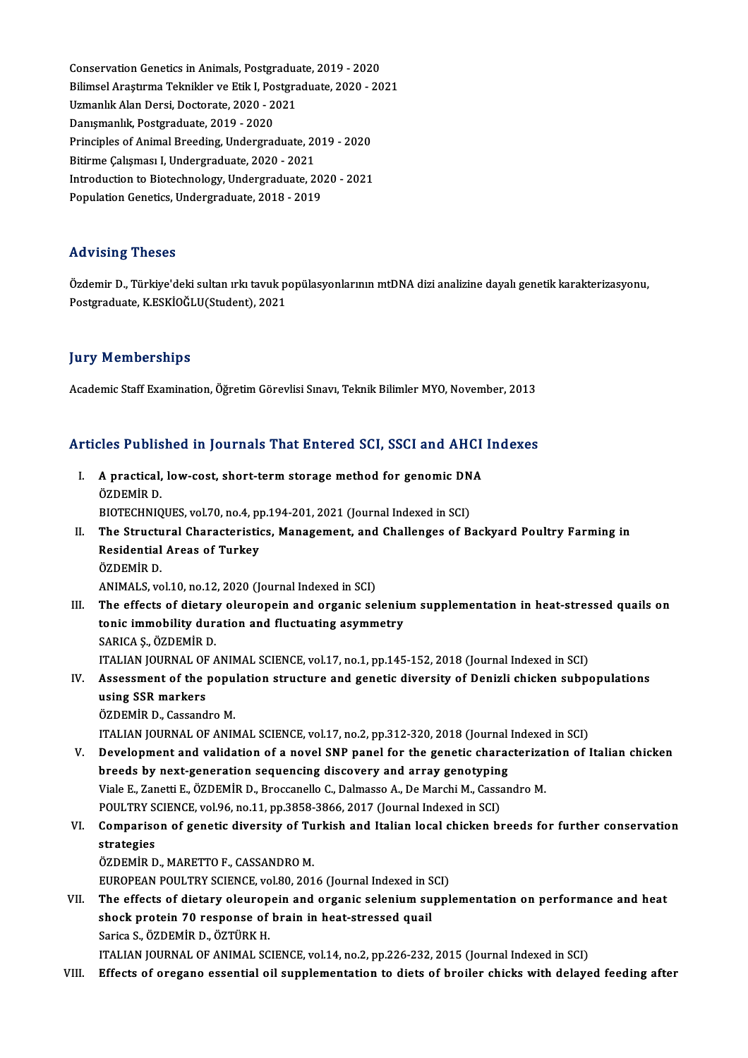Conservation Genetics in Animals, Postgraduate, 2019 - 2020<br>Bilimeel Arestume Telmiklen ve Etik I. Postgraduate, 2020 - 20 BilimselAraştırmaTeknikler veEtikI,Postgraduate,2020 -2021 Conservation Genetics in Animals, Postgradua<br>Bilimsel Araştırma Teknikler ve Etik I, Postgra<br>Uzmanlık Alan Dersi, Doctorate, 2020 - 2021<br>Penymanlık Bostgradusta 2019, 2020 Bilimsel Araştırma Teknikler ve Etik I, Postgraduate, 2020 - 2021<br>Uzmanlık Alan Dersi, Doctorate, 2020 - 2021<br>Danışmanlık, Postgraduate, 2019 - 2020 Uzmanlık Alan Dersi, Doctorate, 2020 - 2021<br>Danışmanlık, Postgraduate, 2019 - 2020<br>Principles of Animal Breeding, Undergraduate, 2019 - 2020<br>Bitirme Columes: U Undergraduate, 2020 - 2021 Danışmanlık, Postgraduate, 2019 - 2020<br>Principles of Animal Breeding, Undergraduate, 20<br>Bitirme Çalışması I, Undergraduate, 2020 - 2021<br>Introduction to Bistochnology, Undergraduate, 2 Principles of Animal Breeding, Undergraduate, 2019 - 2020<br>Bitirme Çalışması I, Undergraduate, 2020 - 2021<br>Introduction to Biotechnology, Undergraduate, 2020 - 2021<br>Penulation Constiss Undergraduate, 2018, 2019 Bitirme Çalışması I, Undergraduate, 2020 - 2021<br>Introduction to Biotechnology, Undergraduate, 2020 - 2021<br>Population Genetics, Undergraduate, 2018 - 2019

### Advising Theses

Advising Theses<br>Özdemir D., Türkiye'deki sultan ırkı tavuk popülasyonlarının mtDNA dizi analizine dayalı genetik karakterizasyonu,<br>Pestsraduata K.ESKİQĞI U(Student), 2021 rra v rorr<sub>i</sub>s i rrosos<br>Özdemir D., Türkiye'deki sultan ırkı tavuk p<br>Postgraduate, K.ESKİOĞLU(Student), 2021 Postgraduate, K.ESKİOĞLU(Student), 2021<br>Jury Memberships

Academic Staff Examination, Öğretim Görevlisi Sınavı, Teknik Bilimler MYO, November, 2013

# Academic Starl Examination, ogretin Gorevisi Sinavi, Teknik Bilimler MTO, November, 2013<br>Articles Published in Journals That Entered SCI, SSCI and AHCI Indexes

| Articles Published in Journals That Entered SCI, SSCI and AHCI Indexes |                                                                                                        |  |
|------------------------------------------------------------------------|--------------------------------------------------------------------------------------------------------|--|
| L.                                                                     | A practical, low-cost, short-term storage method for genomic DNA<br>ÖZDEMİR D.                         |  |
|                                                                        | BIOTECHNIQUES, vol.70, no.4, pp.194-201, 2021 (Journal Indexed in SCI)                                 |  |
| II.                                                                    | The Structural Characteristics, Management, and Challenges of Backyard Poultry Farming in              |  |
|                                                                        | <b>Residential Areas of Turkey</b>                                                                     |  |
|                                                                        | ÖZDEMİR D                                                                                              |  |
|                                                                        | ANIMALS, vol.10, no.12, 2020 (Journal Indexed in SCI)                                                  |  |
| III.                                                                   | The effects of dietary oleuropein and organic selenium supplementation in heat-stressed quails on      |  |
|                                                                        | tonic immobility duration and fluctuating asymmetry                                                    |  |
|                                                                        | SARICA Ș., ÖZDEMİR D.                                                                                  |  |
|                                                                        | ITALIAN JOURNAL OF ANIMAL SCIENCE, vol.17, no.1, pp.145-152, 2018 (Journal Indexed in SCI)             |  |
| IV.                                                                    | Assessment of the population structure and genetic diversity of Denizli chicken subpopulations         |  |
|                                                                        | using SSR markers                                                                                      |  |
|                                                                        | ÖZDEMİR D., Cassandro M.                                                                               |  |
|                                                                        | ITALIAN JOURNAL OF ANIMAL SCIENCE, vol.17, no.2, pp.312-320, 2018 (Journal Indexed in SCI)             |  |
| V.                                                                     | Development and validation of a novel SNP panel for the genetic characterization of Italian chicken    |  |
|                                                                        | breeds by next-generation sequencing discovery and array genotyping                                    |  |
|                                                                        | Viale E., Zanetti E., ÖZDEMİR D., Broccanello C., Dalmasso A., De Marchi M., Cassandro M.              |  |
|                                                                        | POULTRY SCIENCE, vol.96, no.11, pp.3858-3866, 2017 (Journal Indexed in SCI)                            |  |
| VI.                                                                    | Comparison of genetic diversity of Turkish and Italian local chicken breeds for further conservation   |  |
|                                                                        | strategies                                                                                             |  |
|                                                                        | ÖZDEMIR D., MARETTO F., CASSANDRO M.                                                                   |  |
|                                                                        | EUROPEAN POULTRY SCIENCE, vol.80, 2016 (Journal Indexed in SCI)                                        |  |
| VII.                                                                   | The effects of dietary oleuropein and organic selenium supplementation on performance and heat         |  |
|                                                                        | shock protein 70 response of brain in heat-stressed quail                                              |  |
|                                                                        | Sarica S., ÖZDEMİR D., ÖZTÜRK H.                                                                       |  |
|                                                                        | ITALIAN JOURNAL OF ANIMAL SCIENCE, vol.14, no.2, pp.226-232, 2015 (Journal Indexed in SCI)             |  |
| VIII.                                                                  | Effects of oregano essential oil supplementation to diets of broiler chicks with delayed feeding after |  |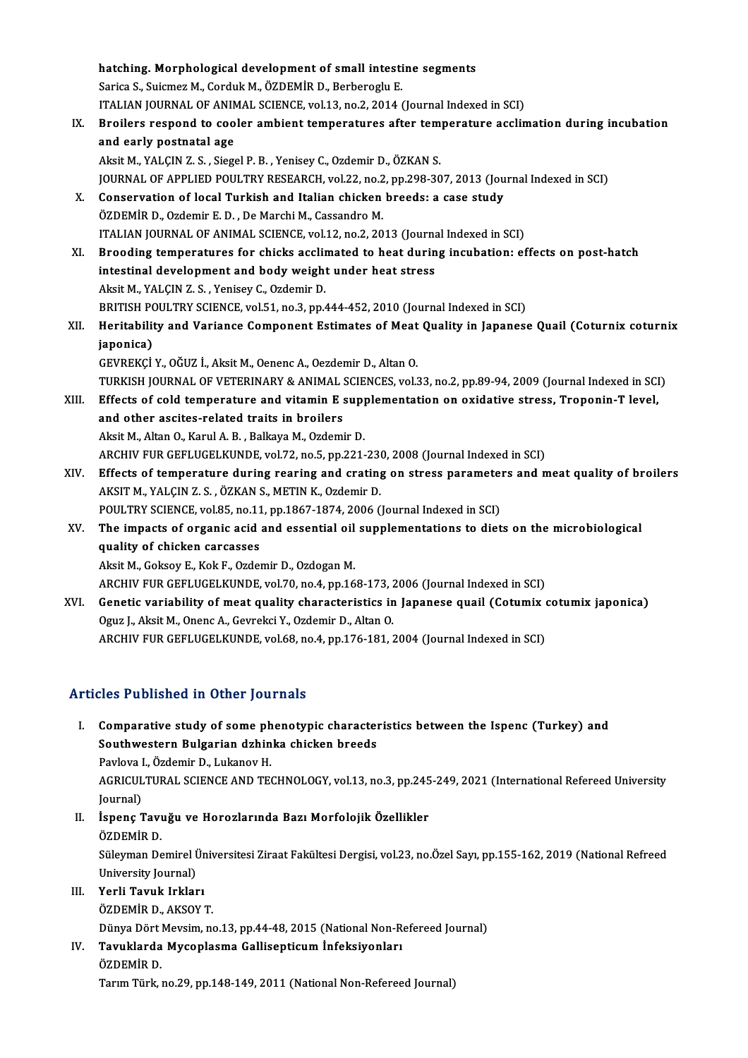|       | hatching. Morphological development of small intestine segments                                                                                     |
|-------|-----------------------------------------------------------------------------------------------------------------------------------------------------|
|       | Sarica S., Suicmez M., Corduk M., ÖZDEMİR D., Berberoglu E.                                                                                         |
|       | ITALIAN JOURNAL OF ANIMAL SCIENCE, vol.13, no.2, 2014 (Journal Indexed in SCI)                                                                      |
| IX.   | Broilers respond to cooler ambient temperatures after temperature acclimation during incubation                                                     |
|       | and early postnatal age                                                                                                                             |
|       | Aksit M., YALÇIN Z. S., Siegel P. B., Yenisey C., Ozdemir D., ÖZKAN S.                                                                              |
|       | JOURNAL OF APPLIED POULTRY RESEARCH, vol.22, no.2, pp.298-307, 2013 (Journal Indexed in SCI)                                                        |
| Х.    | Conservation of local Turkish and Italian chicken breeds: a case study                                                                              |
|       | ÖZDEMİR D., Ozdemir E. D., De Marchi M., Cassandro M.                                                                                               |
|       | ITALIAN JOURNAL OF ANIMAL SCIENCE, vol.12, no.2, 2013 (Journal Indexed in SCI)                                                                      |
| XI.   | Brooding temperatures for chicks acclimated to heat during incubation: effects on post-hatch                                                        |
|       | intestinal development and body weight under heat stress                                                                                            |
|       | Aksit M., YALÇIN Z. S., Yenisey C., Ozdemir D.                                                                                                      |
|       | BRITISH POULTRY SCIENCE, vol.51, no.3, pp.444-452, 2010 (Journal Indexed in SCI)                                                                    |
| XII.  | Heritability and Variance Component Estimates of Meat Quality in Japanese Quail (Coturnix coturnix                                                  |
|       | japonica)                                                                                                                                           |
|       | GEVREKÇİ Y., OĞUZ İ., Aksit M., Oenenc A., Oezdemir D., Altan O.                                                                                    |
|       | TURKISH JOURNAL OF VETERINARY & ANIMAL SCIENCES, vol.33, no.2, pp.89-94, 2009 (Journal Indexed in SCI)                                              |
| XIII. | Effects of cold temperature and vitamin E supplementation on oxidative stress, Troponin-T level,                                                    |
|       | and other ascites-related traits in broilers                                                                                                        |
|       | Aksit M., Altan O., Karul A. B., Balkaya M., Ozdemir D.                                                                                             |
|       | ARCHIV FUR GEFLUGELKUNDE, vol.72, no.5, pp.221-230, 2008 (Journal Indexed in SCI)                                                                   |
| XIV.  | Effects of temperature during rearing and crating on stress parameters and meat quality of broilers                                                 |
|       | AKSIT M., YALÇIN Z. S., ÖZKAN S., METIN K., Ozdemir D.                                                                                              |
|       | POULTRY SCIENCE, vol.85, no.11, pp.1867-1874, 2006 (Journal Indexed in SCI)                                                                         |
| XV.   | The impacts of organic acid and essential oil supplementations to diets on the microbiological                                                      |
|       | quality of chicken carcasses                                                                                                                        |
|       | Aksit M., Goksoy E., Kok F., Ozdemir D., Ozdogan M.                                                                                                 |
|       | ARCHIV FUR GEFLUGELKUNDE, vol.70, no.4, pp.168-173, 2006 (Journal Indexed in SCI)                                                                   |
| XVI.  | Genetic variability of meat quality characteristics in Japanese quail (Cotumix cotumix japonica)                                                    |
|       | Oguz J., Aksit M., Onenc A., Gevrekci Y., Ozdemir D., Altan O.<br>ARCHIV FUR GEFLUGELKUNDE, vol.68, no.4, pp.176-181, 2004 (Journal Indexed in SCI) |
|       |                                                                                                                                                     |

### Articles Published in Other Journals

- I. Comparative study of some phenotypic characteristics between the Ispenc (Turkey) and Southwestern Bulgarian dzhinka<br>Southwestern Bulgarian dzhinka chicken breeds<br>Baylaya L. Ögdemir D. Lukanov H Comparative study of some ph<br>Southwestern Bulgarian dzhin<br>Pavlova I., Özdemir D., Lukanov H.<br>ACPICULTUPAL SCIENCE AND TE AGRICULTURAL SCIENCE AND TECHNOLOGY, vol.13, no.3, pp.245-249, 2021 (International Refereed University Journal) Pavlova I., Özdemir D., Lukanov H. AGRICULTURAL SCIENCE AND TECHNOLOGY, vol.13, no.3, pp.245<br>Journal)<br>II. İspenç Tavuğu ve Horozlarında Bazı Morfolojik Özellikler<br>ÖZDEMİR D
- Journal)<br>İ<mark>spenç Tavı</mark><br>ÖZDEMİR D.<br>Süleyman De İspenç Tavuğu ve Horozlarında Bazı Morfolojik Özellikler<br>ÖZDEMİR D.<br>Süleyman Demirel Üniversitesi Ziraat Fakültesi Dergisi, vol.23, no.Özel Sayı, pp.155-162, 2019 (National Refreed<br>University Journal) ÖZDEMİR D.<br>Süleyman Demirel İ<br>University Journal)<br>Yorli Tayuk İnklar Süleyman Demirel Ür<br>University Journal)<br>III. Yerli Tavuk Irkları<br>ÖZDEMİP D. AVSOY
- University Journal)<br>Yerli <mark>Tavuk Irkları</mark><br>ÖZDEMİR D., AKSOY T.<br>Dünye Dört Meysim ne

Yerli Tavuk Irkları<br>ÖZDEMİR D., AKSOY T.<br>Dünya Dört Mevsim, no.13, pp.44-48, 2015 (National Non-Refereed Journal)<br>Tavuklarda Mysonlasma Callisantisum İnfaksiyonları

ÖZDEMİR D., AKSOY T.<br>Dünya Dört Mevsim, no.13, pp.44-48, 2015 (National Non-Ro<br>IV. Tavuklarda Mycoplasma Gallisepticum İnfeksiyonları<br>ÖZDEMİR D. Dünya Dört |<br><mark>Tavuklarda</mark><br>ÖZDEMİR D.<br>Torum Türk | Tarım Türk, no.29, pp.148-149, 2011 (National Non-Refereed Journal)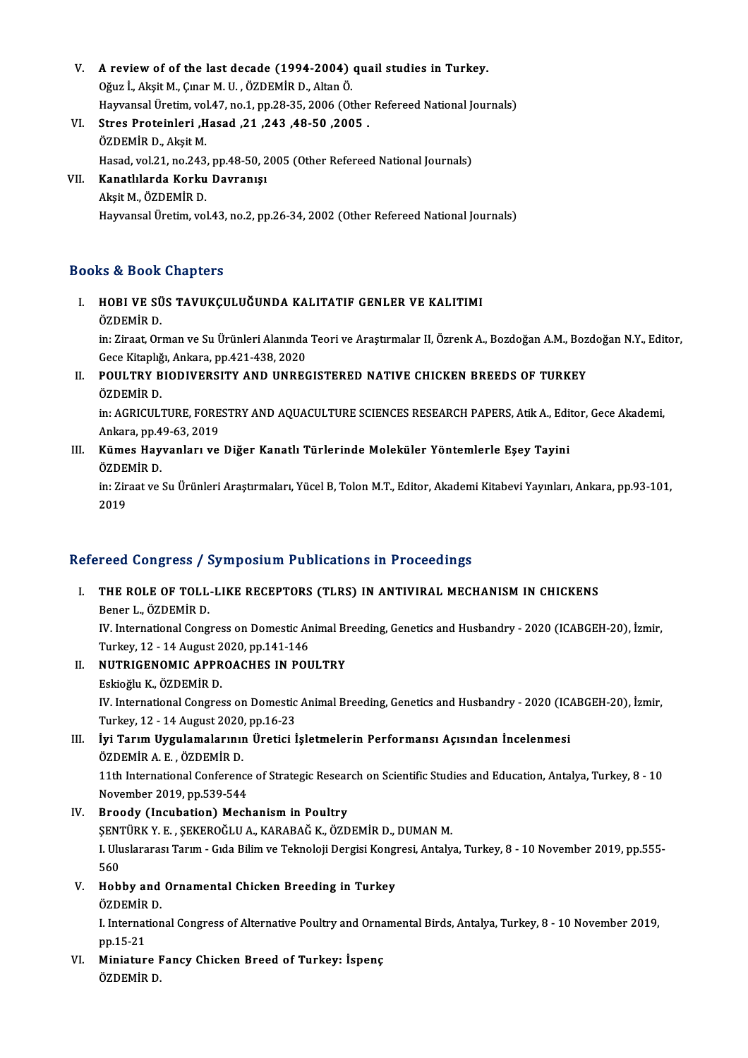- V. A review of of the last decade (1994-2004) quail studies in Turkey.<br>Oğunlu Akit M. Cuar M. II. ÖZDEMİR D. Altan Ö. A review of of the last decade (1994-2004)<br>Oğuz İ., Akşit M., Çınar M. U. , ÖZDEMİR D., Altan Ö.<br>Hayyangel Ünetim vel 47 no 1 nn 28 35 2006 (Ot A review of of the last decade (1994-2004) quail studies in Turkey.<br>Oğuz İ., Akşit M., Çınar M. U. , ÖZDEMİR D., Altan Ö.<br>Hayvansal Üretim, vol.47, no.1, pp.28-35, 2006 (Other Refereed National Journals)<br>Stres Preteinleri Oğuz İ., Akşit M., Çınar M. U. , ÖZDEMİR D., Altan Ö.<br>Hayvansal Üretim, vol.47, no.1, pp.28-35, 2006 (Other<br>VI. Stres Proteinleri ,Hasad ,21 ,243 ,48-50 ,2005 .<br>ÖZDEMİR D., Akşit M. Hayvansal Üretim, vol.47, no.1, pp.28-35, 2006 (Other Refereed National Journals)
- Stres Proteinleri ,Hasad ,21 ,243 ,48-50 ,2005 .<br>ÖZDEMİR D., Akşit M.<br>Hasad, vol.21, no.243, pp.48-50, 2005 (Other Refereed National Journals)<br>Kanatlılarda Korku Dayranıcı
- VII. Kanatlılarda Korku Davranışı<br>Akşit M., ÖZDEMİR D. Hasad, vol.21, no.243<br>**Kanatlılarda Korku**<br>Akşit M., ÖZDEMİR D.<br>Hayransal Üretim *vo*l Hayvansal Üretim, vol.43, no.2, pp.26-34, 2002 (Other Refereed National Journals)

### Books&Book Chapters

OOks & Book Chapters<br>I. – HOBI VE SÜS TAVUKÇULUĞUNDA KALITATIF GENLER VE KALITIMI<br>ÖZDEMİR D **HOBI VE SÜ<br>HOBI VE SÜ**<br>ÖZDEMİR D.

HOBI VE SÜS TAVUKÇULUĞUNDA KALITATIF GENLER VE KALITIMI<br>ÖZDEMİR D.<br>in: Ziraat, Orman ve Su Ürünleri Alanında Teori ve Araştırmalar II, Özrenk A., Bozdoğan A.M., Bozdoğan N.Y., Editor,<br>Cese Kitanlığı, Ankara, pp.421,428,202 ÖZDEMİR D.<br>in: Ziraat, Orman ve Su Ürünleri Alanında<br>Gece Kitaplığı, Ankara, pp.421-438, 2020<br>POUL TRY PLODIVERSITY AND UNREG Gece Kitaplığı, Ankara, pp.421-438, 2020

## II. POULTRY BIODIVERSITY AND UNREGISTERED NATIVE CHICKEN BREEDS OF TURKEY<br>ÖZDEMIR D. POULTRY BIODIVERSITY AND UNREGISTERED NATIVE CHICKEN BREEDS OF TURKEY<br>ÖZDEMİR D.<br>in: AGRICULTURE, FORESTRY AND AQUACULTURE SCIENCES RESEARCH PAPERS, Atik A., Editor, Gece Akademi,<br>Ankara, pp.49,63, 2019

ÖZDEMİR D.<br>in: AGRICULTURE, FORE<br>Ankara, pp.49-63, 2019<br>Kümes Hawranları ve In: AGRICULTURE, FORESTRY AND AQUACULTURE SCIENCES RESEARCH PAPERS, Atik A., Edi<br>Ankara, pp.49-63, 2019<br>III. Kümes Hayvanları ve Diğer Kanatlı Türlerinde Moleküler Yöntemlerle Eşey Tayini<br>ÖZDEMİR D

Ankara, pp.4<br>**Kümes Hay**<br>ÖZDEMİR D.<br>in: <sup>Ziroot vo.</sup> Kümes Hayvanları ve Diğer Kanatlı Türlerinde Moleküler Yöntemlerle Eşey Tayini<br>ÖZDEMİR D.<br>in: Ziraat ve Su Ürünleri Araştırmaları, Yücel B, Tolon M.T., Editor, Akademi Kitabevi Yayınları, Ankara, pp.93-101,<br>2019

ÖZDEI<br>in: Zir<br>2019

# 2019<br>Refereed Congress / Symposium Publications in Proceedings

efereed Congress / Symposium Publications in Proceedings<br>I. THE ROLE OF TOLL-LIKE RECEPTORS (TLRS) IN ANTIVIRAL MECHANISM IN CHICKENS<br>Reper L. ÖZDEMIR D THE ROLE OF TOLL.<br>Bener L., ÖZDEMİR D.<br>W. International Cong THE ROLE OF TOLL-LIKE RECEPTORS (TLRS) IN ANTIVIRAL MECHANISM IN CHICKENS<br>Bener L., ÖZDEMİR D.<br>IV. International Congress on Domestic Animal Breeding, Genetics and Husbandry - 2020 (ICABGEH-20), İzmir,<br>Turkay 12, 14 August

Bener L., ÖZDEMİR D.<br>IV. International Congress on Domestic Ar<br>Turkey, 12 - 14 August 2020, pp.141-146<br>NUTRICENOMIC APPROACUES IN POL Turkey, 12 - 14 August 2020, pp 141-146

- II. NUTRIGENOMIC APPROACHES IN POULTRY<br>Eskioğlu K., ÖZDEMİR D.
	-

NUTRIGENOMIC APPROACHES IN POULTRY<br>Eskioğlu K., ÖZDEMİR D.<br>IV. International Congress on Domestic Animal Breeding, Genetics and Husbandry - 2020 (ICABGEH-20), İzmir,<br>Turkey, 12, .14 August 2020, np.16, 23 Eskioğlu K., ÖZDEMİR D.<br>IV. International Congress on Domestic<br>Turkey, 12 - 14 August 2020, pp.16-23<br>Ivi Tarım Hygulamalarının Ünetici İ IV. International Congress on Domestic Animal Breeding, Genetics and Husbandry - 2020 (IC.<br>Turkey, 12 - 14 August 2020, pp.16-23<br>III. İyi Tarım Uygulamalarının Üretici İşletmelerin Performansı Açısından İncelenmesi<br>ÖZDEMİR

Turkey, 12 - 14 August 2020, pp.16-23<br>III. İyi Tarım Uygulamalarının Üretici İşletmelerin Performansı Açısından İncelenmesi<br>ÖZDEMİR A. E. , ÖZDEMİR D. lyi Tarım Uygulamalarının Üretici İşletmelerin Performansı Açısından İncelenmesi<br>ÖZDEMİR A. E. , ÖZDEMİR D.<br>11th International Conference of Strategic Research on Scientific Studies and Education, Antalya, Turkey, 8 - 10<br>N

ÖZDEMİR A. E. , ÖZDEMİR D.<br>11th International Conference<br>November 2019, pp.539-544<br>Proodu (Inqubation) Moch

## November 2019, pp.539-544<br>IV. Broody (Incubation) Mechanism in Poultry

November 2019, pp.539-544<br><mark>Broody (Incubation) Mechanism in Poultry</mark><br>ŞENTÜRK Y. E. , ŞEKEROĞLU A., KARABAĞ K., ÖZDEMİR D., DUMAN M.<br>L. Uluslanazes Tarım, Cıda Bilim ve Talmaleji Dergisi Kongresi, Antaly I. Uluslararası Tarım - Gıda Bilim ve Teknoloji Dergisi Kongresi, Antalya, Turkey, 8 - 10 November 2019, pp.555-<br>560 ŞENT<br>I. Ulu<br>560<br>Heb I. Uluslararası Tarım - Gıda Bilim ve Teknoloji Dergisi Kong<br>560<br>V. Hobby and Ornamental Chicken Breeding in Turkey<br>ÖZDEMİR D

560<br>Hobby and<br>ÖZDEMİR D.<br>LInternation

Hobby and Ornamental Chicken Breeding in Turkey<br>ÖZDEMİR D.<br>I. International Congress of Alternative Poultry and Ornamental Birds, Antalya, Turkey, 8 - 10 November 2019,<br>nn 15 21 ÖZDEMİR<br>I. Internat<br>pp.15-21<br>Miniatur I. International Congress of Alternative Poultry and Orna<br>pp.15-21<br>VI. Miniature Fancy Chicken Breed of Turkey: İspenç<br>ÖZDEMİR D

pp.15-21<br><mark>Miniature I</mark><br>ÖZDEMİR D.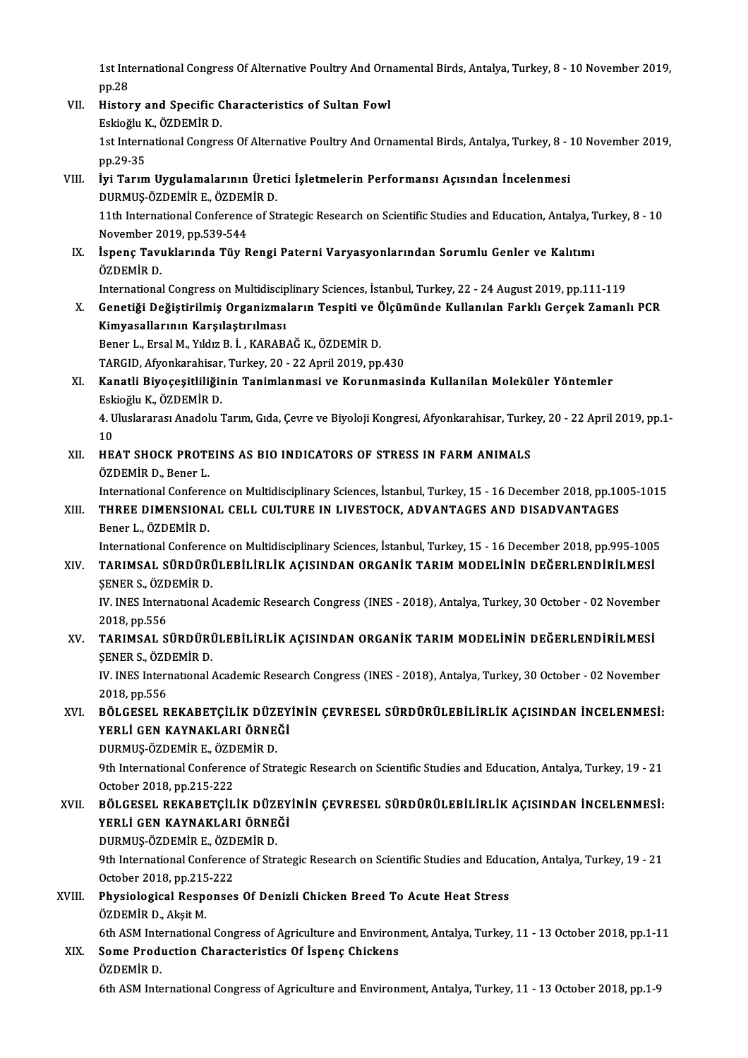1st International Congress Of Alternative Poultry And Ornamental Birds, Antalya, Turkey, 8 - 10 November 2019,<br>nn <sup>29</sup> 1st Int<br>pp.28<br>Histor 1st International Congress Of Alternative Poultry And Orn<br>pp.28<br>VII. History and Specific Characteristics of Sultan Fowl<br>Felse Sultan Kowl

- pp.28<br>History and Specific C<br>Eskioğlu K., ÖZDEMİR D.<br>1st İnternational Congre 1st International Congress Of Alternative Poultry And Ornamental Birds, Antalya, Turkey, 8 - 10 November 2019,<br>pp.29-35 Eskioğlu K., ÖZDEMİR D. 1st International Congress Of Alternative Poultry And Ornamental Birds, Antalya, Turkey, 8 - 1<br>pp.29-35<br>VIII. İyi Tarım Uygulamalarının Üretici İşletmelerin Performansı Açısından İncelenmesi<br>puramıs özpemip el özpemip p
- pp.29-35<br>İyi Tarım Uygulamalarının Üret<br>DURMUŞ-ÖZDEMİR E., ÖZDEMİR D.<br>11th International Conference of St İyi Tarım Uygulamalarının Üretici İşletmelerin Performansı Açısından İncelenmesi<br>DURMUŞ-ÖZDEMİR E., ÖZDEMİR D.<br>11th International Conference of Strategic Research on Scientific Studies and Education, Antalya, Turkey, 8 - 1 DURMUŞ-ÖZDEMİR E., ÖZDEM<br>11th International Conference<br>November 2019, pp.539-544<br>İspana Tayuklarında Tüy B I1th International Conference of Strategic Research on Scientific Studies and Education, Antalya, T<br>November 2019, pp.539-544<br>IX. İspenç Tavuklarında Tüy Rengi Paterni Varyasyonlarından Sorumlu Genler ve Kalıtımı<br>ÖZDEMİR D
- November 2<br>İspenç Tavı<br>ÖZDEMİR D.<br>Internationa İspenç Tavuklarında Tüy Rengi Paterni Varyasyonlarından Sorumlu Genler ve Kalıtımı<br>ÖZDEMİR D.<br>International Congress on Multidisciplinary Sciences, İstanbul, Turkey, 22 - 24 August 2019, pp.111-119<br>Conetiği Değiştirilmiş O

ÖZDEMİR D.<br>International Congress on Multidisciplinary Sciences, İstanbul, Turkey, 22 - 24 August 2019, pp.111-119<br>X. Genetiği Değiştirilmiş Organizmaların Tespiti ve Ölçümünde Kullanılan Farklı Gerçek Zamanlı PCR<br>Kimu International Congress on Multidiscip<br>Genetiği Değiştirilmiş Organizma<br>Kimyasallarının Karşılaştırılması<br>Pener L. Ersel M. Yıldır B.İ., KARAR Genetiği Değiştirilmiş Organizmaların Tespiti ve Ö<br>Kimyasallarının Karşılaştırılması<br>Bener L., Ersal M., Yıldız B. İ. , KARABAĞ K., ÖZDEMİR D.<br>TARCID Afvonkarebiser Turkey 20, 22 April 2019 pp Ki<mark>myasallarının Karşılaştırılması</mark><br>Bener L., Ersal M., Yıldız B. İ. , KARABAĞ K., ÖZDEMİR D.<br>TARGID, Afyonkarahisar, Turkey, 20 - 22 April 2019, pp.430<br>Kanatli Biyosositliliğinin Tanimlanmasi ve Konunmasi

Bener L., Ersal M., Yıldız B. İ. , KARABAĞ K., ÖZDEMİR D.<br>TARGID, Afyonkarahisar, Turkey, 20 - 22 April 2019, pp.430<br>XI. Kanatli Biyoçeşitliliğinin Tanimlanmasi ve Korunmasinda Kullanilan Moleküler Yöntemler<br>Eskioğlu K., Ö TARGID, Afyonkarahisar<br>Kanatli Biyoçeşitliliğin<br>Eskioğlu K., ÖZDEMİR D.<br>4. Uluslararası Anadalı: ? Kanatli Biyoçeşitliliğinin Tanimlanmasi ve Korunmasinda Kullanilan Moleküler Yöntemler<br>Eskioğlu K., ÖZDEMİR D.<br>4. Uluslararası Anadolu Tarım, Gıda, Çevre ve Biyoloji Kongresi, Afyonkarahisar, Turkey, 20 - 22 April 2019, pp

Esk<br>4 U<br>10<br>ur 4. Uluslararası Anadolu Tarım, Gıda, Çevre ve Biyoloji Kongresi, Afyonkarahisar, Turko<br>10<br>XII. HEAT SHOCK PROTEINS AS BIO INDICATORS OF STRESS IN FARM ANIMALS<br>ÖZDEMİR D. Bonor J

## 10<br>XII. HEAT SHOCK PROTEINS AS BIO INDICATORS OF STRESS IN FARM ANIMALS<br>ÖZDEMİR D., Bener L. HEAT SHOCK PROTEINS AS BIO INDICATORS OF STRESS IN FARM ANIMALS<br>ÖZDEMİR D., Bener L.<br>International Conference on Multidisciplinary Sciences, İstanbul, Turkey, 15 - 16 December 2018, pp.1005-1015<br>THREE DIMENSIONAL CELL CIU

## ÖZDEMİR D., Bener L.<br>International Conference on Multidisciplinary Sciences, İstanbul, Turkey, 15 - 16 December 2018, pp.10<br>XIII. THREE DIMENSIONAL CELL CULTURE IN LIVESTOCK, ADVANTAGES AND DISADVANTAGES<br>Paper L. ÖZDEM International Conferen<br>THREE DIMENSION.<br>Bener L., ÖZDEMİR D.<br>International Conferen THREE DIMENSIONAL CELL CULTURE IN LIVESTOCK, ADVANTAGES AND DISADVANTAGES<br>Bener L., ÖZDEMİR D.<br>International Conference on Multidisciplinary Sciences, İstanbul, Turkey, 15 - 16 December 2018, pp.995-1005<br>TARIMSAL SÜRDÜRÜLE

Bener L., ÖZDEMİR D.<br>International Conference on Multidisciplinary Sciences, İstanbul, Turkey, 15 - 16 December 2018, pp.995-1005<br>XIV. TARIMSAL SÜRDÜRÜLEBİLİRLİK AÇISINDAN ORGANİK TARIM MODELİNİN DEĞERLENDİRİLMESİ<br>SENE International Conferen<br>TARIMSAL SÜRDÜRİ<br>ŞENER S., ÖZDEMİR D.<br>IV. INES International TARIMSAL SÜRDÜRÜLEBİLİRLİK AÇISINDAN ORGANİK TARIM MODELİNİN DEĞERLENDİRİLMESİ<br>ŞENER S., ÖZDEMİR D.<br>IV. INES International Academic Research Congress (INES - 2018), Antalya, Turkey, 30 October - 02 November<br>2018.np.556

**ŞENER S., ÖZD<br>IV. INES Interi<br>2018, pp.556<br>TARIMSAL S.** IV. INES International Academic Research Congress (INES - 2018), Antalya, Turkey, 30 October - 02 November<br>2018, pp.556<br>XV. TARIMSAL SÜRDÜRÜLEBİLİRLİK AÇISINDAN ORGANİK TARIM MODELİNİN DEĞERLENDİRİLMESİ<br>SENER S. ÖZDEMİ

2018, pp.556<br><mark>TARIMSAL SÜRDÜRI</mark><br>ŞENER S., ÖZDEMİR D.<br>IV. INES International TARIMSAL SÜRDÜRÜLEBİLİRLİK AÇISINDAN ORGANİK TARIM MODELİNİN DEĞERLENDİRİLMESİ<br>ŞENER S., ÖZDEMİR D.<br>IV. INES International Academic Research Congress (INES - 2018), Antalya, Turkey, 30 October - 02 November<br>2018.np.556

ŞENER S., ÖZDEMİR D.<br>IV. INES International Academic Research Congress (INES - 2018), Antalya, Turkey, 30 October - 02 November<br>2018, pp.556 IV. INES International Academic Research Congress (INES - 2018), Antalya, Turkey, 30 October - 02 November<br>2018, pp.556<br>XVI. BÖLGESEL REKABETÇİLİK DÜZEYİNİN ÇEVRESEL SÜRDÜRÜLEBİLİRLİK AÇISINDAN İNCELENMESİ:<br>XERLİ CEN KAYNA

# 2018, pp.556<br>BÖLGESEL REKABETÇİLİK DÜZEY<br>YERLİ GEN KAYNAKLARI ÖRNEĞİ<br>DURMUS ÖZDEMİR E. ÖZDEMİR D BÖLGESEL REKABETÇİLİK DÜZI<br>YERLİ GEN KAYNAKLARI ÖRNE<br>DURMUŞ-ÖZDEMİR E., ÖZDEMİR D.<br><sup>Oth Intornational Conforence of Str</sup>

DURMUŞ-ÖZDEMİR E., ÖZDEMİR D.

9th International Conference of Strategic Research on Scientific Studies and Education, Antalya, Turkey, 19 - 21<br>19th International Conference of Strategic Research on Scientific Studies and Education, Antalya, Turkey, 19 9th International Conference of Strategic Research on Scientific Studies and Education, Antalya, Turkey, 19 - 21<br>October 2018, pp.215-222<br>XVII. BÖLGESEL REKABETÇİLİK DÜZEYİNİN ÇEVRESEL SÜRDÜRÜLEBİLİRLİK AÇISINDAN İNCELENME

## October 2018, pp.215-222<br>BÖLGESEL REKABETÇİLİK DÜZEY<br>YERLİ GEN KAYNAKLARI ÖRNEĞİ<br>DURMUS ÖZDEMİR E. ÖZDEMİR D BÖLGESEL REKABETÇİLİK DÜZI<br>YERLİ GEN KAYNAKLARI ÖRNE<br>DURMUŞ-ÖZDEMİR E., ÖZDEMİR D.<br><sup>Oth Intornational Conforence of Str</sup> 9th International ARNECON International Conference of Strategican International Dure<br>Conference of Strategic Research on Scientific Studies and Education, Antalya, Turkey, 19 - 21<br>The International Conference of Strategic

DURMUŞ-ÖZDEMİR E, ÖZDEMİR D.

October 2018, pp 215-222

## XVIII. Physiological Responses Of Denizli Chicken Breed To Acute Heat Stress<br>ÖZDEMİR D., Akşit M. Physiological Responses Of Denizli Chicken Breed To Acute Heat Stress<br>ÖZDEMİR D., Akşit M.<br>6th ASM International Congress of Agriculture and Environment, Antalya, Turkey, 11 - 13 October 2018, pp.1-11<br>Some Production Chara ÖZDEMİR D., Akşit M.<br>6th ASM International Congress of Agriculture and Environ:<br>XIX. Some Production Characteristics Of İspenç Chickens<br>ÖZDEMİR D.

# 6th ASM Inte<br>Some Produ<br>ÖZDEMİR D.<br>6th ASM Inte

5ome Production Characteristics Of İspenç Chickens<br>ÖZDEMİR D.<br>6th ASM International Congress of Agriculture and Environment, Antalya, Turkey, 11 - 13 October 2018, pp.1-9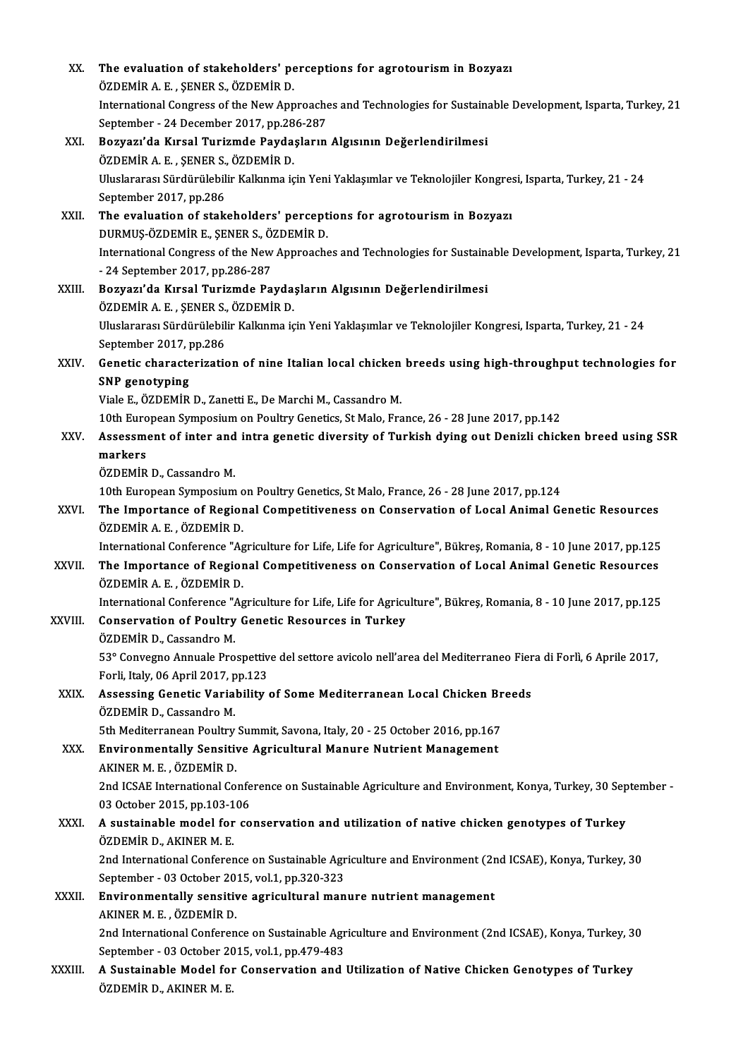| XX.         | The evaluation of stakeholders' perceptions for agrotourism in Bozyazı                                                     |
|-------------|----------------------------------------------------------------------------------------------------------------------------|
|             | ÖZDEMIR A. E., ŞENER S., ÖZDEMIR D.                                                                                        |
|             | International Congress of the New Approaches and Technologies for Sustainable Development, Isparta, Turkey, 21             |
|             | September - 24 December 2017, pp.286-287                                                                                   |
| XXI.        | Bozyazı'da Kırsal Turizmde Paydaşların Algısının Değerlendirilmesi                                                         |
|             | ÖZDEMİR A. E., ŞENER S., ÖZDEMİR D.                                                                                        |
|             | Uluslararası Sürdürülebilir Kalkınma için Yeni Yaklaşımlar ve Teknolojiler Kongresi, Isparta, Turkey, 21 - 24              |
|             | September 2017, pp.286                                                                                                     |
| XXII.       | The evaluation of stakeholders' perceptions for agrotourism in Bozyazı                                                     |
|             | DURMUŞ-ÖZDEMİR E, ŞENER S, ÖZDEMİR D.                                                                                      |
|             | International Congress of the New Approaches and Technologies for Sustainable Development, Isparta, Turkey, 21             |
|             | - 24 September 2017, pp 286-287                                                                                            |
| XXIII.      | Bozyazı'da Kırsal Turizmde Paydaşların Algısının Değerlendirilmesi<br>ÖZDEMİR A.E., ŞENER S., ÖZDEMİR D.                   |
|             | Uluslararası Sürdürülebilir Kalkınma için Yeni Yaklaşımlar ve Teknolojiler Kongresi, Isparta, Turkey, 21 - 24              |
|             | September 2017, pp.286                                                                                                     |
| XXIV.       | Genetic characterization of nine Italian local chicken breeds using high-throughput technologies for                       |
|             | <b>SNP</b> genotyping                                                                                                      |
|             | Viale E., ÖZDEMİR D., Zanetti E., De Marchi M., Cassandro M.                                                               |
|             | 10th European Symposium on Poultry Genetics, St Malo, France, 26 - 28 June 2017, pp.142                                    |
| XXV.        | Assessment of inter and intra genetic diversity of Turkish dying out Denizli chicken breed using SSR                       |
|             | markers                                                                                                                    |
|             | ÖZDEMİR D., Cassandro M.                                                                                                   |
|             | 10th European Symposium on Poultry Genetics, St Malo, France, 26 - 28 June 2017, pp.124                                    |
| <b>XXVI</b> | The Importance of Regional Competitiveness on Conservation of Local Animal Genetic Resources                               |
|             | ÖZDEMİR A E , ÖZDEMİR D.                                                                                                   |
|             | International Conference "Agriculture for Life, Life for Agriculture", Bükreş, Romania, 8 - 10 June 2017, pp.125           |
| XXVII.      | The Importance of Regional Competitiveness on Conservation of Local Animal Genetic Resources<br>ÖZDEMİR A. E. . ÖZDEMİR D. |
|             | International Conference "Agriculture for Life, Life for Agriculture", Bükreş, Romania, 8 - 10 June 2017, pp.125           |
| XXVIII.     | <b>Conservation of Poultry Genetic Resources in Turkey</b>                                                                 |
|             | ÖZDEMİR D., Cassandro M.                                                                                                   |
|             | 53º Convegno Annuale Prospettive del settore avicolo nell'area del Mediterraneo Fiera di Forlì, 6 Aprile 2017,             |
|             | Forli, Italy, 06 April 2017, pp.123                                                                                        |
| XXIX.       | Assessing Genetic Variability of Some Mediterranean Local Chicken Breeds                                                   |
|             | ÖZDEMİR D., Cassandro M.                                                                                                   |
|             | 5th Mediterranean Poultry Summit, Savona, Italy, 20 - 25 October 2016, pp.167                                              |
| XXX.        | Environmentally Sensitive Agricultural Manure Nutrient Management                                                          |
|             | AKINER M. E., ÖZDEMİR D.                                                                                                   |
|             | 2nd ICSAE International Conference on Sustainable Agriculture and Environment, Konya, Turkey, 30 September -               |
|             | 03 October 2015, pp 103-106                                                                                                |
| XXXI.       | A sustainable model for conservation and utilization of native chicken genotypes of Turkey                                 |
|             | ÖZDEMİR D., AKINER M. E.                                                                                                   |
|             | 2nd International Conference on Sustainable Agriculture and Environment (2nd ICSAE), Konya, Turkey, 30                     |
|             | September - 03 October 2015, vol 1, pp.320-323<br>Environmentally sensitive agricultural manure nutrient management        |
| XXXII.      | AKINER M. E., ÖZDEMİR D.                                                                                                   |
|             | 2nd International Conference on Sustainable Agriculture and Environment (2nd ICSAE), Konya, Turkey, 30                     |
|             | September - 03 October 2015, vol.1, pp.479-483                                                                             |
| XXXIII.     | A Sustainable Model for Conservation and Utilization of Native Chicken Genotypes of Turkey                                 |
|             | ÖZDEMİR D., AKINER M. E.                                                                                                   |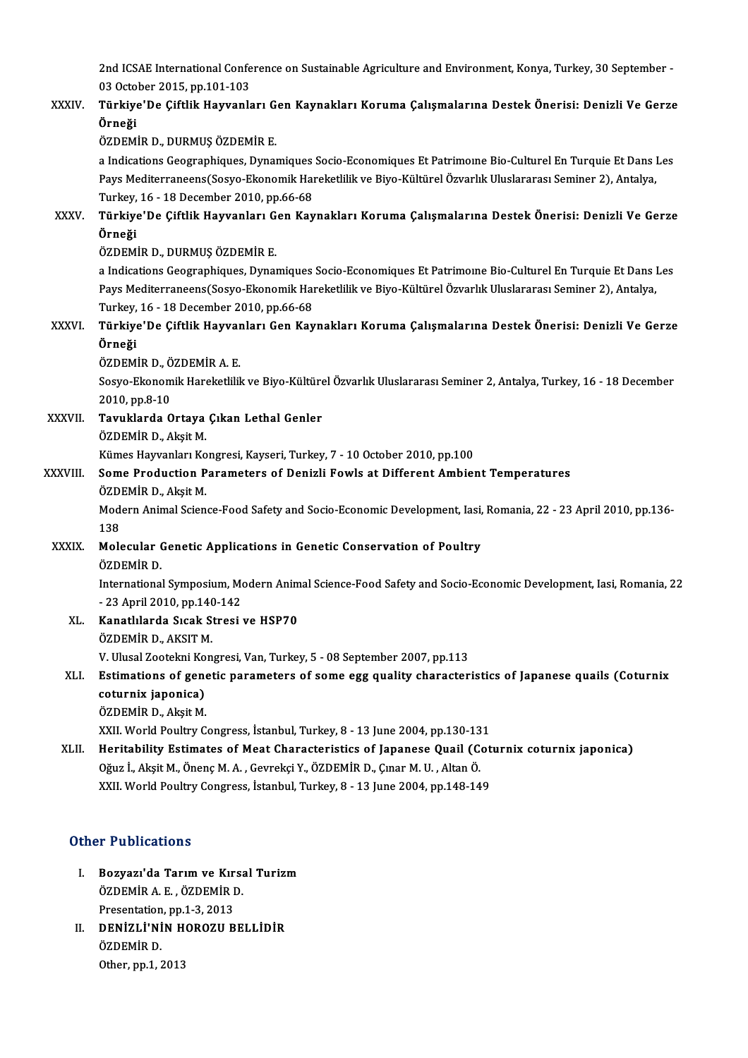2nd ICSAE International Conference on Sustainable Agriculture and Environment, Konya, Turkey, 30 September -<br>03 Osteber 2015, pp.101-103 2nd ICSAE International Confe<br>03 October 2015, pp.101-103<br>Türkiye'De Ciftlik Heywanle 2nd ICSAE International Conference on Sustainable Agriculture and Environment, Konya, Turkey, 30 September -<br>03 October 2015, pp.101-103<br>XXXIV. Türkiye'De Çiftlik Hayvanları Gen Kaynakları Koruma Çalışmalarına Destek Ö

## 03 Octo<br><mark>Türkiye</mark><br>Örneği Türkiye'De Çiftlik Hayvanları G<br>Örneği<br>ÖZDEMİR D., DURMUŞ ÖZDEMİR E.<br>a Indications Coostanbiques Dunat Örneği<br>ÖZDEMİR D., DURMUŞ ÖZDEMİR E.<br>a Indications Geographiques, Dynamiques Socio-Economiques Et Patrimoıne Bio-Culturel En Turquie Et Dans Les

ÖZDEMİR D., DURMUŞ ÖZDEMİR E.<br>a Indications Geographiques, Dynamiques Socio-Economiques Et Patrimoıne Bio-Culturel En Turquie Et Dans l<br>Pays Mediterraneens(Sosyo-Ekonomik Hareketlilik ve Biyo-Kültürel Özvarlık Uluslararası a Indications Geographiques, Dynamiques<br>Pays Mediterraneens(Sosyo-Ekonomik Hai<br>Turkey, 16 - 18 December 2010, pp.66-68<br>Türkiye'De Giftlik Hayvanları Can Kay Pays Mediterraneens(Sosyo-Ekonomik Hareketlilik ve Biyo-Kültürel Özvarlık Uluslararası Seminer 2), Antalya,<br>Turkey, 16 - 18 December 2010, pp.66-68<br>XXXV. Türkiye'De Çiftlik Hayvanları Gen Kaynakları Koruma Çalışmaların

# Turkey,<br><mark>Türkiye</mark><br>Örneği Türkiye'De Çiftlik Hayvanları G<br>Örneği<br>ÖZDEMİR D., DURMUŞ ÖZDEMİR E.<br>a Indisstians Coosranbiques Dunat

**Örneği**<br>ÖZDEMİR D., DURMUŞ ÖZDEMİR E.<br>a Indications Geographiques, Dynamiques Socio-Economiques Et Patrimoıne Bio-Culturel En Turquie Et Dans Les Pays Mediterraneens(Sosyo-Ekonomik Hareketlilik ve Biyo-Kültürel Özvarlık Uluslararası Seminer 2), Antalya, a Indications Geographiques, Dynamiques<br>Pays Mediterraneens(Sosyo-Ekonomik Hai<br>Turkey, 16 - 18 December 2010, pp.66-68<br>Türkiye'De Giftlik Hayyanları Can Kay Pays Mediterraneens(Sosyo-Ekonomik Hareketlilik ve Biyo-Kültürel Özvarlık Uluslararası Seminer 2), Antalya,<br>Türkey, 16 - 18 December 2010, pp.66-68<br>XXXVI. Türkiye'De Çiftlik Hayvanları Gen Kaynakları Koruma Çalışmaları

# Turkey,<br><mark>Türkiye</mark><br>Örneği Türkiye'De Çiftlik Hayvar<br>Örneği<br>ÖZDEMİR D., ÖZDEMİR A. E.<br>Sesve Ekanomik Harakatilil

ÖZDEMİR D., ÖZDEMİR A.E.

Örneği<br>ÖZDEMİR D., ÖZDEMİR A. E.<br>Sosyo-Ekonomik Hareketlilik ve Biyo-Kültürel Özvarlık Uluslararası Seminer 2, Antalya, Turkey, 16 - 18 December<br>2010, pp.8-10 Sosyo-Ekonomik Hareketlilik ve Biyo-Kültüre<br>2010, pp.8-10<br>XXXVII. Tavuklarda Ortaya Çıkan Lethal Genler<br>ÖZPEMİR D. Aksit M

2010, pp.8-10<br><mark>Tavuklarda Ortaya</mark><br>ÖZDEMİR D., Akşit M.<br>Kümes Hayvanları Ko ÖZDEMİR D., Akşit M.<br>Kümes Hayvanları Kongresi, Kayseri, Turkey, 7 - 10 October 2010, pp.100

## ÖZDEMİR D., Akşit M.<br>Kümes Hayvanları Kongresi, Kayseri, Turkey, 7 - 10 October 2010, pp.100<br>XXXVIII. Some Production Parameters of Denizli Fowls at Different Ambient Temperatures<br>ÖZDEMİR D. Aksit M Kümes Hayvanları Ko<br>**Some Production P**<br>ÖZDEMİR D., Akşit M.<br>Modern Animal Scien ÖZDEMİR D., Aksit M.

Modern Animal Science-Food Safety and Socio-Economic Development, Iasi, Romania, 22 - 23 April 2010, pp.136-<br>138 Modern Animal Science-Food Safety and Socio-Economic Development, Iasi,<br>138<br>XXXIX. Molecular Genetic Applications in Genetic Conservation of Poultry<br>67DEMIP D

# 138<br>Molecular (<br>ÖZDEMİR D.<br>Internatione

InternationalSymposium,ModernAnimalScience-Food Safety and Socio-EconomicDevelopment, Iasi,Romania,22 ÖZDEMİR D.<br>International Symposium, Mo<br>- 23 April 2010, pp.140-142<br>Kanatlılarda Sısak Strasi International Symposium, Modern Anim<br>- 23 April 2010, pp.140-142<br>XL. Kanatlılarda Sıcak Stresi ve HSP70

## - 23 April 2010, pp.140-142<br>XL. Kanatlılarda Sıcak Stresi ve HSP70<br>ÖZDEMİR D., AKSIT M. Kanatlılarda Sıcak Stresi ve HSP70<br>ÖZDEMİR D., AKSIT M.<br>V. Ulusal Zootekni Kongresi, Van, Turkey, 5 - 08 September 2007, pp.113<br>Estimations of senstis persymeters of seme ess suelity sharester

### ÖZDEMİR D., AKSIT M.<br>V. Ulusal Zootekni Kongresi, Van, Turkey, 5 - 08 September 2007, pp.113<br>XLI. Estimations of genetic parameters of some egg quality characteristics of Japanese quails (Coturnix<br> V. Ulusal Zootekni Ko<br>Estimations of gene<br>coturnix japonica)<br>ÖZDEMİP D. Aksit M Estimations of gene<br>coturnix japonica)<br>ÖZDEMİR D., Akşit M.<br>YYU World Boultur C coturnix japonica)<br>ÖZDEMİR D., Akşit M.<br>XXII. World Poultry Congress, İstanbul, Turkey, 8 - 13 June 2004, pp.130-131

## ÖZDEMİR D., Akşit M.<br>XXII. World Poultry Congress, İstanbul, Turkey, 8 - 13 June 2004, pp.130-131<br>XLII. Heritability Estimates of Meat Characteristics of Japanese Quail (Coturnix coturnix japonica) XXII. World Poultry Congress, İstanbul, Turkey, 8 - 13 June 2004, pp.130-13<br>Heritability Estimates of Meat Characteristics of Japanese Quail (Condita)<br>Oğuz İ., Akşit M., Önenç M. A. , Gevrekçi Y., ÖZDEMİR D., Çınar M. U. , Heritability Estimates of Meat Characteristics of Japanese Quail (Cot<br>Oğuz İ., Akşit M., Önenç M. A. , Gevrekçi Y., ÖZDEMİR D., Çınar M. U. , Altan Ö.<br>XXII. World Poultry Congress, İstanbul, Turkey, 8 - 13 June 2004, pp.14 XXII. World Poultry Congress, İstanbul, Turkey, 8 - 13 June 2004, pp.148-149<br>Other Publications

- ther Publications<br>I. Bozyazı'da Tarım ve Kırsal Turizm<br>ÖZDEMİRA E. ÖZDEMİR D 1 1 denoderene<br>Bozyazı'da Tarım ve Kırsa<br>ÖZDEMİR A.E., ÖZDEMİR D. Bozyazı'da Tarım ve Kır<br>ÖZDEMİR A.E., ÖZDEMİR I<br>Presentation, pp.1-3, 2013<br>DENİZI İ'NİN HOPOZU P ÖZDEMİR A. E. , ÖZDEMİR D.<br>Presentation, pp.1-3, 2013<br>II. DENİZLİ'NİN HOROZU BELLİDİR<br>ÖZDEMİR D.
- Presentation<br>DENİZLİ'Nİ<br>ÖZDEMİR D.<br>Other.pp.1.1 D<mark>ENİZLİ'NİN H</mark><br>ÖZDEMİR D.<br>Other, pp.1, 2013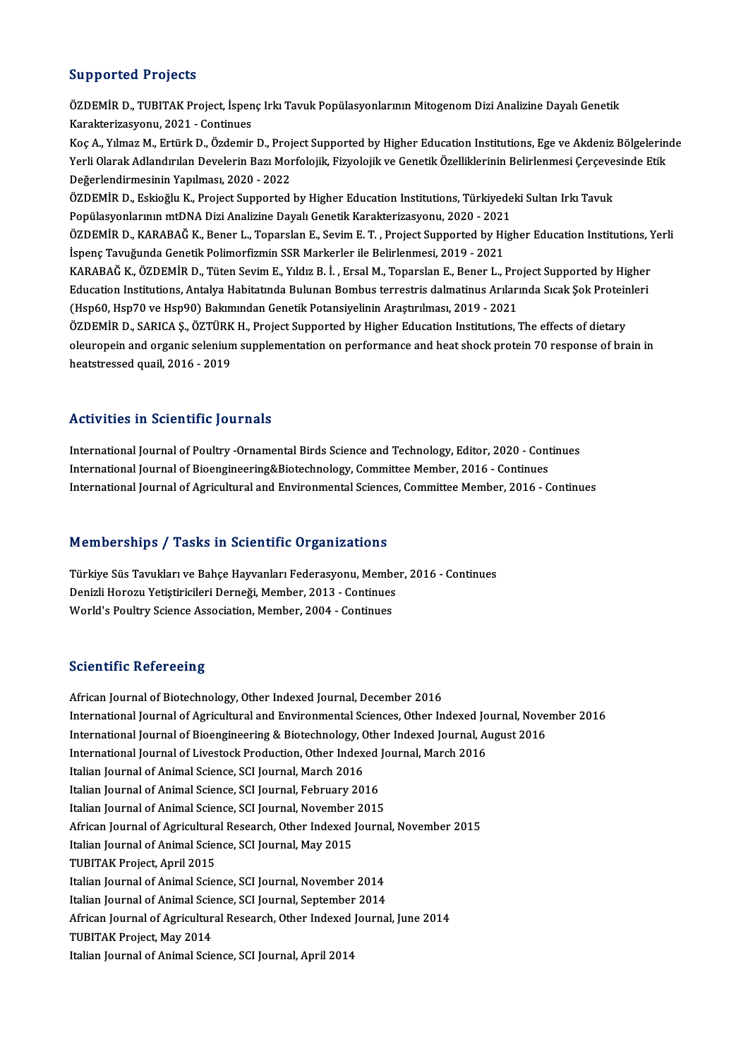### Supported Projects

Supported Projects<br>ÖZDEMİR D., TUBITAK Project, İspenç Irkı Tavuk Popülasyonlarının Mitogenom Dizi Analizine Dayalı Genetik<br>Kanakteriyasyonu, 2021, Centinues Supported Trojects<br>ÖZDEMİR D., TUBITAK Project, İspen<br>Karakterizasyonu, 2021 - Continues<br>Kos A. Yılmaz M. Ertürk D. Özdemir ÖZDEMİR D., TUBITAK Project, İspenç Irkı Tavuk Popülasyonlarının Mitogenom Dizi Analizine Dayalı Genetik<br>Karakterizasyonu, 2021 - Continues<br>Koç A., Yılmaz M., Ertürk D., Özdemir D., Project Supported by Higher Education In

Karakterizasyonu, 2021 - Continues<br>Koç A., Yılmaz M., Ertürk D., Özdemir D., Project Supported by Higher Education Institutions, Ege ve Akdeniz Bölgelerin<br>Yerli Olarak Adlandırılan Develerin Bazı Morfolojik, Fizyolojik ve Koç A., Yılmaz M., Ertürk D., Özdemir D., Proj<br>Yerli Olarak Adlandırılan Develerin Bazı Mor<br>Değerlendirmesinin Yapılması, 2020 - 2022<br>ÖZDEMİR D., Eskieğlu K., Prejest Supperted Yerli Olarak Adlandırılan Develerin Bazı Morfolojik, Fizyolojik ve Genetik Özelliklerinin Belirlenmesi Çerçeve<br>Değerlendirmesinin Yapılması, 2020 - 2022<br>ÖZDEMİR D., Eskioğlu K., Project Supported by Higher Education Instit

Değerlendirmesinin Yapılması, 2020 - 2022<br>ÖZDEMİR D., Eskioğlu K., Project Supported by Higher Education Institutions, Türkiyede<br>Popülasyonlarının mtDNA Dizi Analizine Dayalı Genetik Karakterizasyonu, 2020 - 2021<br>ÖZDEMİR D ÖZDEMİR D., Eskioğlu K., Project Supported by Higher Education Institutions, Türkiyedeki Sultan Irkı Tavuk<br>Popülasyonlarının mtDNA Dizi Analizine Dayalı Genetik Karakterizasyonu, 2020 - 2021<br>ÖZDEMİR D., KARABAĞ K., Bener L

Popülasyonlarının mtDNA Dizi Analizine Dayalı Genetik Karakterizasyonu, 2020 - 2021<br>ÖZDEMİR D., KARABAĞ K., Bener L., Toparslan E., Sevim E. T. , Project Supported by Higher Education Institutions,<br>İspenç Tavuğunda Genetik ÖZDEMİR D., KARABAĞ K., Bener L., Toparslan E., Sevim E. T., Project Supported by Higher Education Institutions, Yerli

İspenç Tavuğunda Genetik Polimorfizmin SSR Markerler ile Belirlenmesi, 2019 - 2021<br>KARABAĞ K., ÖZDEMİR D., Tüten Sevim E., Yıldız B. İ. , Ersal M., Toparslan E., Bener L., Project Supported by Higher<br>Education Institutions (Hsp60, Hsp70 ve Hsp90) Bakımından Genetik Potansiyelinin Araştırılması, 2019 - 2021 Education Institutions, Antalya Habitatında Bulunan Bombus terrestris dalmatinus Arılarında Sıcak Şok Protein<br>(Hsp60, Hsp70 ve Hsp90) Bakımından Genetik Potansiyelinin Araştırılması, 2019 - 2021<br>ÖZDEMİR D., SARICA Ş., ÖZTÜ

ÖZDEMİR D., SARICA Ş., ÖZTÜRK H., Project Supported by Higher Education Institutions, The effects of dietary<br>oleuropein and organic selenium supplementation on performance and heat shock protein 70 response of brain in heatstressed quail,2016 -2019

### Activities in Scientific Journals

Activities in Scientific Journals<br>International Journal of Poultry -Ornamental Birds Science and Technology, Editor, 2020 - Continues<br>International Journal of Bioongineering&Biotechnology, Committee Member, 2016, Continues International Journal of Poultry -Ornamental Birds Science and Technology, Editor, 2020 - Cont<br>International Journal of Bioengineering&Biotechnology, Committee Member, 2016 - Continues<br>International Journal of Agricultural International Journal of Bioengineering&Biotechnology, Committee Member, 2016 - Continues<br>International Journal of Agricultural and Environmental Sciences, Committee Member, 2016 - Continues

### Memberships / Tasks in Scientific Organizations

Memberships / Tasks in Scientific Organizations<br>Türkiye Süs Tavukları ve Bahçe Hayvanları Federasyonu, Member, 2016 - Continues<br>Penizli Harozu Yetistirisileri Derneği Member, 2012 - Continues Promborompo 7 rasno in botoneme organizacions<br>Türkiye Süs Tavukları ve Bahçe Hayvanları Federasyonu, Membe<br>Denizli Horozu Yetiştiricileri Derneği, Member, 2013 - Continues Denizli Horozu Yetiştiricileri Derneği, Member, 2013 - Continues<br>World's Poultry Science Association, Member, 2004 - Continues

### **Scientific Refereeing**

African Journal of Biotechnology, Other Indexed Journal, December 2016 International Journal of Agricultural and Environmental Sciences, Other Indexed Journal, November 2016 African Journal of Biotechnology, Other Indexed Journal, December 2016<br>International Journal of Agricultural and Environmental Sciences, Other Indexed Journal, Nove<br>International Journal of Bioengineering & Biotechnology, International Journal of Agricultural and Environmental Sciences, Other Indexed Jo<br>International Journal of Bioengineering & Biotechnology, Other Indexed Journal, An<br>International Journal of Livestock Production, Other Ind International Journal of Bioengineering & Biotechnology, C<br>International Journal of Livestock Production, Other Index<br>Italian Journal of Animal Science, SCI Journal, March 2016<br>Italian Journal of Animal Science, SCI Journa International Journal of Livestock Production, Other Indexed Journal, March 2016<br>Italian Journal of Animal Science, SCI Journal, March 2016<br>Italian Journal of Animal Science, SCI Journal, February 2016<br>Italian Journal of A Italian Journal of Animal Science, SCI Journal, February 2016 African Journal of Agricultural Research, Other Indexed Journal, November 2015 Italian Journal of Animal Science, SCI Journal, November<br>African Journal of Agricultural Research, Other Indexed<br>Italian Journal of Animal Science, SCI Journal, May 2015<br>TURITAK Breject, Anril 2015 African Journal of Agricultura<br>Italian Journal of Animal Scier<br>TUBITAK Project, April 2015<br>Italian Journal of Animal Scier TUBITAK Project, April 2015<br>Italian Journal of Animal Science, SCI Journal, November 2014 TUBITAK Project, April 2015<br>Italian Journal of Animal Science, SCI Journal, November 2014<br>Italian Journal of Animal Science, SCI Journal, September 2014<br>African Journal of Agricultural Bessensh, Other Indoved Journa Italian Journal of Animal Science, SCI Journal, November 2014<br>Italian Journal of Animal Science, SCI Journal, September 2014<br>African Journal of Agricultural Research, Other Indexed Journal, June 2014<br>TURITAK Preject, May 2 Italian Journal of Animal Scie<br>African Journal of Agricultur<br>TUBITAK Project, May 2014<br>Italian Journal of Animal Scie African Journal of Agricultural Research, Other Indexed<br>TUBITAK Project, May 2014<br>Italian Journal of Animal Science, SCI Journal, April 2014